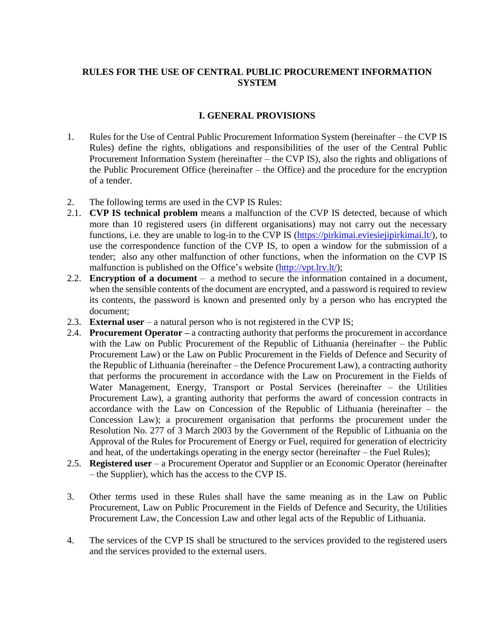# **RULES FOR THE USE OF CENTRAL PUBLIC PROCUREMENT INFORMATION SYSTEM**

## **I. GENERAL PROVISIONS**

- 1. Rules for the Use of Central Public Procurement Information System (hereinafter the CVP IS Rules) define the rights, obligations and responsibilities of the user of the Central Public Procurement Information System (hereinafter – the CVP IS), also the rights and obligations of the Public Procurement Office (hereinafter – the Office) and the procedure for the encryption of a tender.
- 2. The following terms are used in the CVP IS Rules:
- 2.1. **CVP IS technical problem** means a malfunction of the CVP IS detected, because of which more than 10 registered users (in different organisations) may not carry out the necessary functions, i.e. they are unable to log-in to the CVP IS [\(https://pirkimai.eviesiejipirkimai.lt/\)](https://pirkimai.eviesiejipirkimai.lt/), to use the correspondence function of the CVP IS, to open a window for the submission of a tender; also any other malfunction of other functions, when the information on the CVP IS malfunction is published on the Office's website [\(http://vpt.lrv.lt/\)](http://vpt.lrv.lt/);
- 2.2. **Encryption of a document** a method to secure the information contained in a document, when the sensible contents of the document are encrypted, and a password is required to review its contents, the password is known and presented only by a person who has encrypted the document;
- 2.3. **External user** a natural person who is not registered in the CVP IS;
- 2.4. **Procurement Operator –** a contracting authority that performs the procurement in accordance with the Law on Public Procurement of the Republic of Lithuania (hereinafter – the Public Procurement Law) or the Law on Public Procurement in the Fields of Defence and Security of the Republic of Lithuania (hereinafter – the Defence Procurement Law), a contracting authority that performs the procurement in accordance with the Law on Procurement in the Fields of Water Management, Energy, Transport or Postal Services (hereinafter – the Utilities Procurement Law), a granting authority that performs the award of concession contracts in accordance with the Law on Concession of the Republic of Lithuania (hereinafter – the Concession Law); a procurement organisation that performs the procurement under the Resolution No. 277 of 3 March 2003 by the Government of the Republic of Lithuania on the Approval of the Rules for Procurement of Energy or Fuel, required for generation of electricity and heat, of the undertakings operating in the energy sector (hereinafter – the Fuel Rules);
- 2.5. **Registered user** a Procurement Operator and Supplier or an Economic Operator (hereinafter – the Supplier), which has the access to the CVP IS.
- 3. Other terms used in these Rules shall have the same meaning as in the Law on Public Procurement, Law on Public Procurement in the Fields of Defence and Security, the Utilities Procurement Law, the Concession Law and other legal acts of the Republic of Lithuania.
- 4. The services of the CVP IS shall be structured to the services provided to the registered users and the services provided to the external users.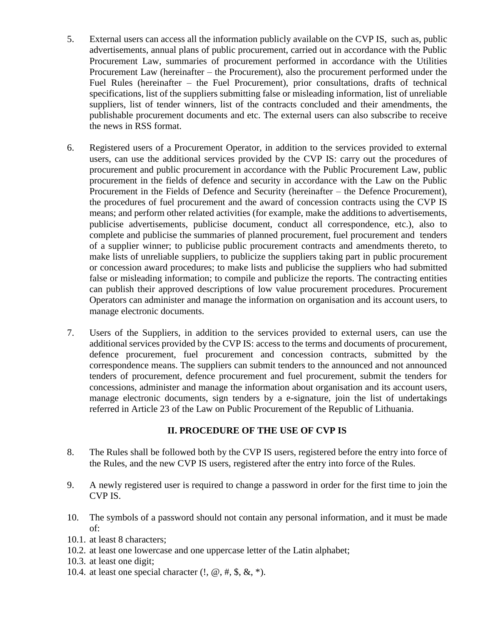- 5. External users can access all the information publicly available on the CVP IS, such as, public advertisements, annual plans of public procurement, carried out in accordance with the Public Procurement Law, summaries of procurement performed in accordance with the Utilities Procurement Law (hereinafter – the Procurement), also the procurement performed under the Fuel Rules (hereinafter – the Fuel Procurement), prior consultations, drafts of technical specifications, list of the suppliers submitting false or misleading information, list of unreliable suppliers, list of tender winners, list of the contracts concluded and their amendments, the publishable procurement documents and etc. The external users can also subscribe to receive the news in RSS format.
- 6. Registered users of a Procurement Operator, in addition to the services provided to external users, can use the additional services provided by the CVP IS: carry out the procedures of procurement and public procurement in accordance with the Public Procurement Law, public procurement in the fields of defence and security in accordance with the Law on the Public Procurement in the Fields of Defence and Security (hereinafter – the Defence Procurement), the procedures of fuel procurement and the award of concession contracts using the CVP IS means; and perform other related activities (for example, make the additions to advertisements, publicise advertisements, publicise document, conduct all correspondence, etc.), also to complete and publicise the summaries of planned procurement, fuel procurement and tenders of a supplier winner; to publicise public procurement contracts and amendments thereto, to make lists of unreliable suppliers, to publicize the suppliers taking part in public procurement or concession award procedures; to make lists and publicise the suppliers who had submitted false or misleading information; to compile and publicize the reports. The contracting entities can publish their approved descriptions of low value procurement procedures. Procurement Operators can administer and manage the information on organisation and its account users, to manage electronic documents.
- 7. Users of the Suppliers, in addition to the services provided to external users, can use the additional services provided by the CVP IS: access to the terms and documents of procurement, defence procurement, fuel procurement and concession contracts, submitted by the correspondence means. The suppliers can submit tenders to the announced and not announced tenders of procurement, defence procurement and fuel procurement, submit the tenders for concessions, administer and manage the information about organisation and its account users, manage electronic documents, sign tenders by a e-signature, join the list of undertakings referred in Article 23 of the Law on Public Procurement of the Republic of Lithuania.

## **II. PROCEDURE OF THE USE OF CVP IS**

- 8. The Rules shall be followed both by the CVP IS users, registered before the entry into force of the Rules, and the new CVP IS users, registered after the entry into force of the Rules.
- 9. A newly registered user is required to change a password in order for the first time to join the CVP IS.
- 10. The symbols of a password should not contain any personal information, and it must be made of:
- 10.1. at least 8 characters;
- 10.2. at least one lowercase and one uppercase letter of the Latin alphabet;
- 10.3. at least one digit;
- 10.4. at least one special character  $(!, \omega, \#, \$\, \&, \*)$ .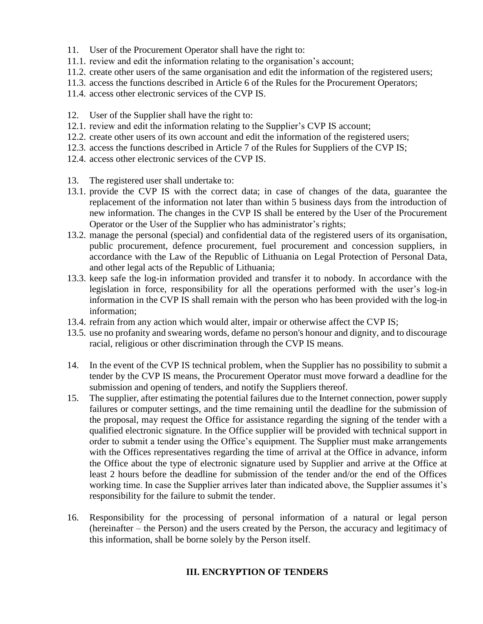- 11. User of the Procurement Operator shall have the right to:
- 11.1. review and edit the information relating to the organisation's account;
- 11.2. create other users of the same organisation and edit the information of the registered users;
- 11.3. access the functions described in Article 6 of the Rules for the Procurement Operators;
- 11.4. access other electronic services of the CVP IS.
- 12. User of the Supplier shall have the right to:
- 12.1. review and edit the information relating to the Supplier's CVP IS account;
- 12.2. create other users of its own account and edit the information of the registered users;
- 12.3. access the functions described in Article 7 of the Rules for Suppliers of the CVP IS;
- 12.4. access other electronic services of the CVP IS.
- 13. The registered user shall undertake to:
- 13.1. provide the CVP IS with the correct data; in case of changes of the data, guarantee the replacement of the information not later than within 5 business days from the introduction of new information. The changes in the CVP IS shall be entered by the User of the Procurement Operator or the User of the Supplier who has administrator's rights;
- 13.2. manage the personal (special) and confidential data of the registered users of its organisation, public procurement, defence procurement, fuel procurement and concession suppliers, in accordance with the Law of the Republic of Lithuania on Legal Protection of Personal Data, and other legal acts of the Republic of Lithuania;
- 13.3. keep safe the log-in information provided and transfer it to nobody. In accordance with the legislation in force, responsibility for all the operations performed with the user's log-in information in the CVP IS shall remain with the person who has been provided with the log-in information;
- 13.4. refrain from any action which would alter, impair or otherwise affect the CVP IS;
- 13.5. use no profanity and swearing words, defame no person's honour and dignity, and to discourage racial, religious or other discrimination through the CVP IS means.
- 14. In the event of the CVP IS technical problem, when the Supplier has no possibility to submit a tender by the CVP IS means, the Procurement Operator must move forward a deadline for the submission and opening of tenders, and notify the Suppliers thereof.
- 15. The supplier, after estimating the potential failures due to the Internet connection, power supply failures or computer settings, and the time remaining until the deadline for the submission of the proposal, may request the Office for assistance regarding the signing of the tender with a qualified electronic signature. In the Office supplier will be provided with technical support in order to submit a tender using the Office's equipment. The Supplier must make arrangements with the Offices representatives regarding the time of arrival at the Office in advance, inform the Office about the type of electronic signature used by Supplier and arrive at the Office at least 2 hours before the deadline for submission of the tender and/or the end of the Offices working time. In case the Supplier arrives later than indicated above, the Supplier assumes it's responsibility for the failure to submit the tender.
- 16. Responsibility for the processing of personal information of a natural or legal person (hereinafter – the Person) and the users created by the Person, the accuracy and legitimacy of this information, shall be borne solely by the Person itself.

## **III. ENCRYPTION OF TENDERS**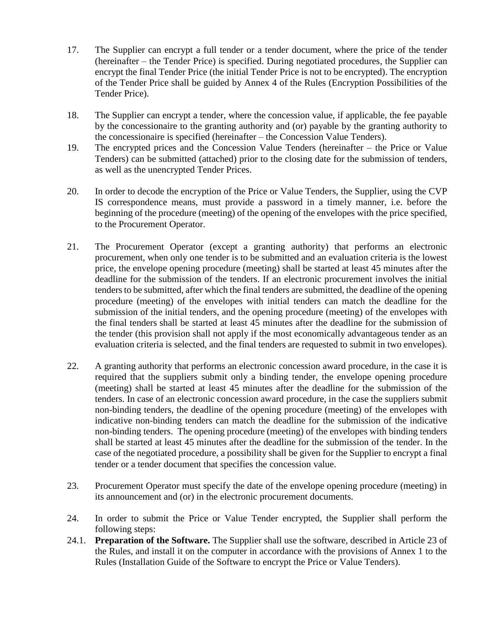- 17. The Supplier can encrypt a full tender or a tender document, where the price of the tender (hereinafter – the Tender Price) is specified. During negotiated procedures, the Supplier can encrypt the final Tender Price (the initial Tender Price is not to be encrypted). The encryption of the Tender Price shall be guided by Annex 4 of the Rules (Encryption Possibilities of the Tender Price).
- 18. The Supplier can encrypt a tender, where the concession value, if applicable, the fee payable by the concessionaire to the granting authority and (or) payable by the granting authority to the concessionaire is specified (hereinafter – the Concession Value Tenders).
- 19. The encrypted prices and the Concession Value Tenders (hereinafter the Price or Value Tenders) can be submitted (attached) prior to the closing date for the submission of tenders, as well as the unencrypted Tender Prices.
- 20. In order to decode the encryption of the Price or Value Tenders, the Supplier, using the CVP IS correspondence means, must provide a password in a timely manner, i.e. before the beginning of the procedure (meeting) of the opening of the envelopes with the price specified, to the Procurement Operator.
- 21. The Procurement Operator (except a granting authority) that performs an electronic procurement, when only one tender is to be submitted and an evaluation criteria is the lowest price, the envelope opening procedure (meeting) shall be started at least 45 minutes after the deadline for the submission of the tenders. If an electronic procurement involves the initial tenders to be submitted, after which the final tenders are submitted, the deadline of the opening procedure (meeting) of the envelopes with initial tenders can match the deadline for the submission of the initial tenders, and the opening procedure (meeting) of the envelopes with the final tenders shall be started at least 45 minutes after the deadline for the submission of the tender (this provision shall not apply if the most economically advantageous tender as an evaluation criteria is selected, and the final tenders are requested to submit in two envelopes).
- 22. A granting authority that performs an electronic concession award procedure, in the case it is required that the suppliers submit only a binding tender, the envelope opening procedure (meeting) shall be started at least 45 minutes after the deadline for the submission of the tenders. In case of an electronic concession award procedure, in the case the suppliers submit non-binding tenders, the deadline of the opening procedure (meeting) of the envelopes with indicative non-binding tenders can match the deadline for the submission of the indicative non-binding tenders. The opening procedure (meeting) of the envelopes with binding tenders shall be started at least 45 minutes after the deadline for the submission of the tender. In the case of the negotiated procedure, a possibility shall be given for the Supplier to encrypt a final tender or a tender document that specifies the concession value.
- 23. Procurement Operator must specify the date of the envelope opening procedure (meeting) in its announcement and (or) in the electronic procurement documents.
- 24. In order to submit the Price or Value Tender encrypted, the Supplier shall perform the following steps:
- 24.1. **Preparation of the Software.** The Supplier shall use the software, described in Article 23 of the Rules, and install it on the computer in accordance with the provisions of Annex 1 to the Rules (Installation Guide of the Software to encrypt the Price or Value Tenders).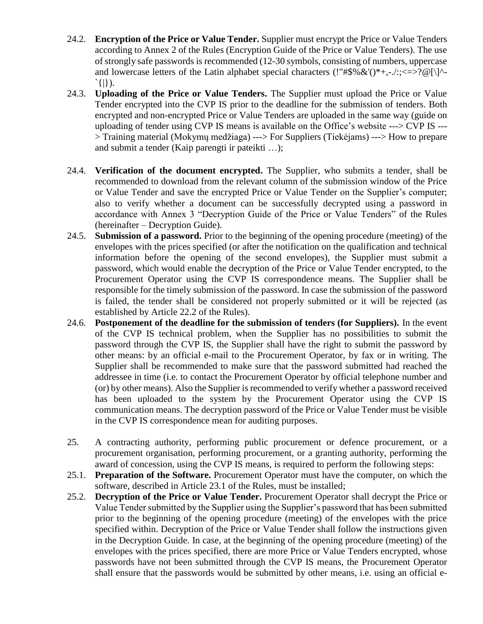- 24.2. **Encryption of the Price or Value Tender.** Supplier must encrypt the Price or Value Tenders according to Annex 2 of the Rules (Encryption Guide of the Price or Value Tenders). The use of strongly safe passwords is recommended (12-30 symbols, consisting of numbers, uppercase and lowercase letters of the Latin alphabet special characters (!"#\$%  $\&$ '()\*+,-./:;<=>?@[\]^-`{|}).
- 24.3. **Uploading of the Price or Value Tenders.** The Supplier must upload the Price or Value Tender encrypted into the CVP IS prior to the deadline for the submission of tenders. Both encrypted and non-encrypted Price or Value Tenders are uploaded in the same way (guide on uploading of tender using CVP IS means is available on the Office's website ---> CVP IS --- > Training material (Mokymų medžiaga) ---> For Suppliers (Tiekėjams) ---> How to prepare and submit a tender (Kaip parengti ir pateikti …);
- 24.4. **Verification of the document encrypted.** The Supplier, who submits a tender, shall be recommended to download from the relevant column of the submission window of the Price or Value Tender and save the encrypted Price or Value Tender on the Supplier's computer; also to verify whether a document can be successfully decrypted using a password in accordance with Annex 3 "Decryption Guide of the Price or Value Tenders" of the Rules (hereinafter – Decryption Guide).
- 24.5. **Submission of a password.** Prior to the beginning of the opening procedure (meeting) of the envelopes with the prices specified (or after the notification on the qualification and technical information before the opening of the second envelopes), the Supplier must submit a password, which would enable the decryption of the Price or Value Tender encrypted, to the Procurement Operator using the CVP IS correspondence means. The Supplier shall be responsible for the timely submission of the password. In case the submission of the password is failed, the tender shall be considered not properly submitted or it will be rejected (as established by Article 22.2 of the Rules).
- 24.6. **Postponement of the deadline for the submission of tenders (for Suppliers).** In the event of the CVP IS technical problem, when the Supplier has no possibilities to submit the password through the CVP IS, the Supplier shall have the right to submit the password by other means: by an official e-mail to the Procurement Operator, by fax or in writing. The Supplier shall be recommended to make sure that the password submitted had reached the addressee in time (i.e. to contact the Procurement Operator by official telephone number and (or) by other means). Also the Supplier is recommended to verify whether a password received has been uploaded to the system by the Procurement Operator using the CVP IS communication means. The decryption password of the Price or Value Tender must be visible in the CVP IS correspondence mean for auditing purposes.
- 25. A contracting authority, performing public procurement or defence procurement, or a procurement organisation, performing procurement, or a granting authority, performing the award of concession, using the CVP IS means, is required to perform the following steps:
- 25.1. **Preparation of the Software.** Procurement Operator must have the computer, on which the software, described in Article 23.1 of the Rules, must be installed;
- 25.2. **Decryption of the Price or Value Tender.** Procurement Operator shall decrypt the Price or Value Tender submitted by the Supplier using the Supplier's password that has been submitted prior to the beginning of the opening procedure (meeting) of the envelopes with the price specified within. Decryption of the Price or Value Tender shall follow the instructions given in the Decryption Guide. In case, at the beginning of the opening procedure (meeting) of the envelopes with the prices specified, there are more Price or Value Tenders encrypted, whose passwords have not been submitted through the CVP IS means, the Procurement Operator shall ensure that the passwords would be submitted by other means, i.e. using an official e-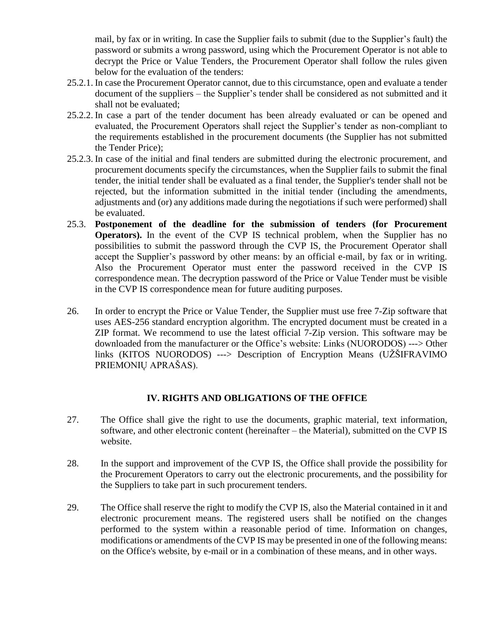mail, by fax or in writing. In case the Supplier fails to submit (due to the Supplier's fault) the password or submits a wrong password, using which the Procurement Operator is not able to decrypt the Price or Value Tenders, the Procurement Operator shall follow the rules given below for the evaluation of the tenders:

- 25.2.1. In case the Procurement Operator cannot, due to this circumstance, open and evaluate a tender document of the suppliers – the Supplier's tender shall be considered as not submitted and it shall not be evaluated;
- 25.2.2. In case a part of the tender document has been already evaluated or can be opened and evaluated, the Procurement Operators shall reject the Supplier's tender as non-compliant to the requirements established in the procurement documents (the Supplier has not submitted the Tender Price);
- 25.2.3. In case of the initial and final tenders are submitted during the electronic procurement, and procurement documents specify the circumstances, when the Supplier fails to submit the final tender, the initial tender shall be evaluated as a final tender, the Supplier's tender shall not be rejected, but the information submitted in the initial tender (including the amendments, adjustments and (or) any additions made during the negotiations if such were performed) shall be evaluated.
- 25.3. **Postponement of the deadline for the submission of tenders (for Procurement Operators).** In the event of the CVP IS technical problem, when the Supplier has no possibilities to submit the password through the CVP IS, the Procurement Operator shall accept the Supplier's password by other means: by an official e-mail, by fax or in writing. Also the Procurement Operator must enter the password received in the CVP IS correspondence mean. The decryption password of the Price or Value Tender must be visible in the CVP IS correspondence mean for future auditing purposes.
- 26. In order to encrypt the Price or Value Tender, the Supplier must use free 7-Zip software that uses AES-256 standard encryption algorithm. The encrypted document must be created in a ZIP format. We recommend to use the latest official 7-Zip version. This software may be downloaded from the manufacturer or the Office's website: Links (NUORODOS) ---> Other links (KITOS NUORODOS) ---> Description of Encryption Means (UŽŠIFRAVIMO PRIEMONIŲ APRAŠAS).

## **IV. RIGHTS AND OBLIGATIONS OF THE OFFICE**

- 27. The Office shall give the right to use the documents, graphic material, text information, software, and other electronic content (hereinafter – the Material), submitted on the CVP IS website.
- 28. In the support and improvement of the CVP IS, the Office shall provide the possibility for the Procurement Operators to carry out the electronic procurements, and the possibility for the Suppliers to take part in such procurement tenders.
- 29. The Office shall reserve the right to modify the CVP IS, also the Material contained in it and electronic procurement means. The registered users shall be notified on the changes performed to the system within a reasonable period of time. Information on changes, modifications or amendments of the CVP IS may be presented in one of the following means: on the Office's website, by e-mail or in a combination of these means, and in other ways.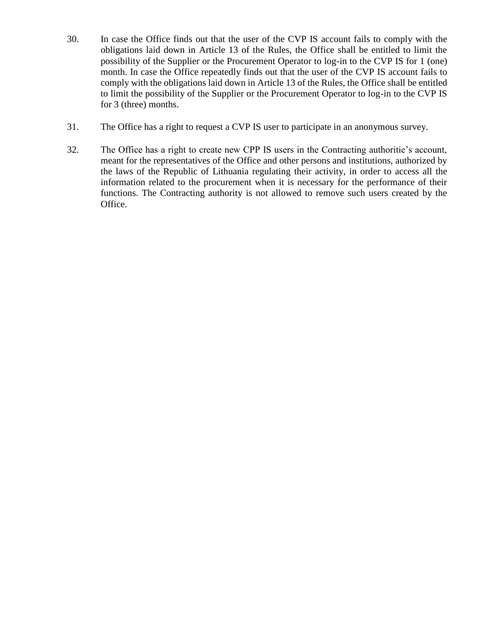- 30. In case the Office finds out that the user of the CVP IS account fails to comply with the obligations laid down in Article 13 of the Rules, the Office shall be entitled to limit the possibility of the Supplier or the Procurement Operator to log-in to the CVP IS for 1 (one) month. In case the Office repeatedly finds out that the user of the CVP IS account fails to comply with the obligations laid down in Article 13 of the Rules, the Office shall be entitled to limit the possibility of the Supplier or the Procurement Operator to log-in to the CVP IS for 3 (three) months.
- 31. The Office has a right to request a CVP IS user to participate in an anonymous survey.
- 32. The Office has a right to create new CPP IS users in the Contracting authoritie's account, meant for the representatives of the Office and other persons and institutions, authorized by the laws of the Republic of Lithuania regulating their activity, in order to access all the information related to the procurement when it is necessary for the performance of their functions. The Contracting authority is not allowed to remove such users created by the Office.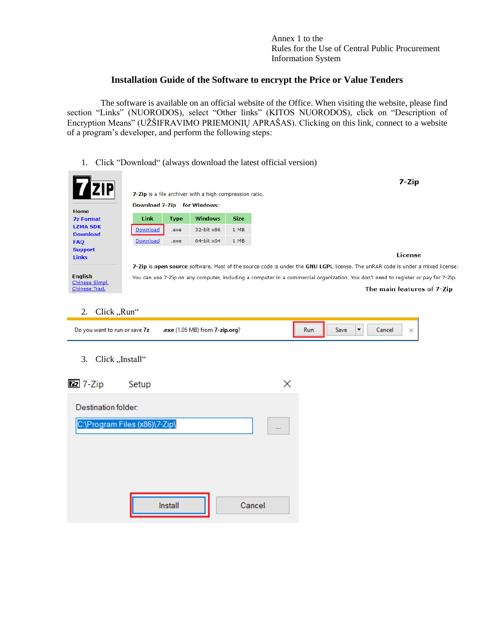Annex 1 to the Rules for the Use of Central Public Procurement Information System

## **Installation Guide of the Software to encrypt the Price or Value Tenders**

The software is available on an official website of the Office. When visiting the website, please find section "Links" (NUORODOS), select "Other links" (KITOS NUORODOS), click on "Description of Encryption Means" (UŽŠIFRAVIMO PRIEMONIŲ APRAŠAS). Clicking on this link, connect to a website of a program's developer, and perform the following steps:

#### 1. Click "Download" (always download the latest official version)

| <b>ZIP</b><br><b>Home</b>                         | <b>Download 7-Zip</b> |             | 7-Zip is a file archiver with a high compression ratio.<br>for Windows: |             | 7-Zip                                                                                                                                                            |
|---------------------------------------------------|-----------------------|-------------|-------------------------------------------------------------------------|-------------|------------------------------------------------------------------------------------------------------------------------------------------------------------------|
| <b>7z Format</b>                                  | <b>Link</b>           | <b>Type</b> | <b>Windows</b>                                                          | <b>Size</b> |                                                                                                                                                                  |
| <b>LZMA SDK</b>                                   | Download              | .exe        | 32-bit x86                                                              | 1 MB        |                                                                                                                                                                  |
| <b>Download</b><br><b>FAQ</b>                     | Download              | .exe        | 64-bit x64                                                              | 1 MB        |                                                                                                                                                                  |
| <b>Support</b><br><b>Links</b>                    |                       |             |                                                                         |             | License                                                                                                                                                          |
|                                                   |                       |             |                                                                         |             | 7-Zip is open source software. Most of the source code is under the GNU LGPL license. The unRAR code is under a mixed license:                                   |
| <b>English</b><br>Chinese Simpl.<br>Chinese Trad. |                       |             |                                                                         |             | You can use 7-Zip on any computer, including a computer in a commercial organization. You don't need to register or pay for 7-Zip.<br>The main features of 7-Zip |

#### 2. Click "Run"

| Do you want to run or save 7z | exe (1.05 MB) from <b>7-zip.org</b> ?. | wn | ancel |  |
|-------------------------------|----------------------------------------|----|-------|--|
|                               |                                        |    |       |  |

#### 3. Click "Install"

| $\sqrt{27}$ 7-Zip   | Setup                         |        |  |
|---------------------|-------------------------------|--------|--|
| Destination folder: |                               |        |  |
|                     | C:\Program Files (x86)\7-Zip\ |        |  |
|                     |                               |        |  |
|                     |                               |        |  |
|                     | Install                       | Cancel |  |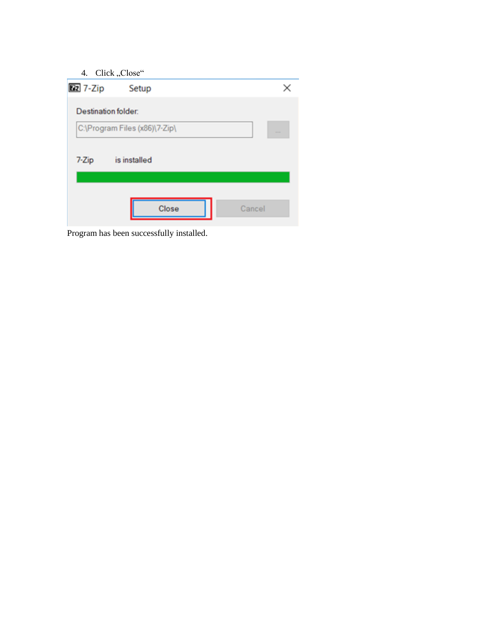| 4. | Click, Close" |
|----|---------------|
|----|---------------|

| ᠇.<br>$\mathsf{Cinv}_n, \mathsf{Cinv}_n$ |        |
|------------------------------------------|--------|
| <b>Ez</b> 7-Zip<br>Setup                 | ×      |
| Destination folder:                      |        |
| C:\Program Files (x86)\7-Zip\            | 444    |
| is installed<br>7-Zip                    |        |
|                                          |        |
| Close                                    | Cancel |

Program has been successfully installed.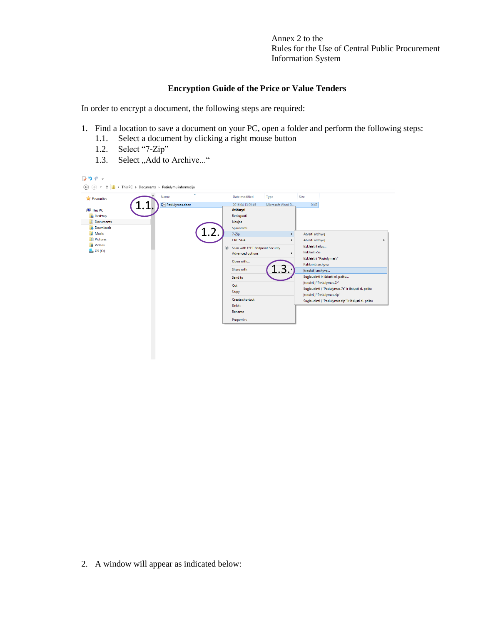Annex 2 to the Rules for the Use of Central Public Procurement Information System

#### **Encryption Guide of the Price or Value Tenders**

In order to encrypt a document, the following steps are required:

- 1. Find a location to save a document on your PC, open a folder and perform the following steps:
	- 1.1. Select a document by clicking a right mouse button
	- 1.2. Select "7-Zip"
	- 1.3. Select "Add to Archive..."



2. A window will appear as indicated below: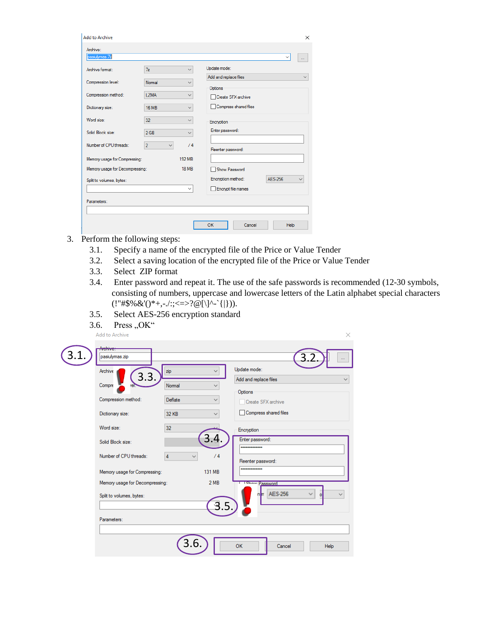| Archive:<br>pasiulymas.7z                                                                    |                                |               |                       | $\checkmark$ | $\ldots$ |
|----------------------------------------------------------------------------------------------|--------------------------------|---------------|-----------------------|--------------|----------|
| Archive format:                                                                              | 7 <sub>z</sub>                 | $\checkmark$  | Update mode:          |              |          |
| Compression level:                                                                           | Normal                         | $\checkmark$  | Add and replace files |              |          |
|                                                                                              |                                |               | Options               |              |          |
| Compression method:                                                                          | <b>LZMA</b>                    | $\checkmark$  | □ Create SFX archive  |              |          |
| Dictionary size:                                                                             | <b>16 MB</b>                   | $\checkmark$  | Compress shared files |              |          |
| Word size:                                                                                   | 32                             |               | Encryption            |              |          |
| Solid Block size:                                                                            | 2 <sub>GB</sub>                | $\checkmark$  | Enter password:       |              |          |
| Number of CPU threads:                                                                       | $\overline{2}$<br>$\checkmark$ | /4            | Reenter password:     |              |          |
|                                                                                              |                                | <b>192 MB</b> |                       |              |          |
|                                                                                              |                                | <b>18 MB</b>  | Show Password         |              |          |
|                                                                                              |                                |               | Encryption method:    | AFS-256      |          |
|                                                                                              |                                | $\checkmark$  | Encrypt file names    |              |          |
|                                                                                              |                                |               |                       |              |          |
| Memory usage for Compressing:<br>Memory usage for Decompressing:<br>Split to volumes, bytes: |                                |               |                       |              |          |

- 3. Perform the following steps:
	- 3.1. Specify a name of the encrypted file of the Price or Value Tender
	- 3.2. Select a saving location of the encrypted file of the Price or Value Tender
	- 3.3. Select ZIP format
	- 3.4. Enter password and repeat it. The use of the safe passwords is recommended (12-30 symbols, consisting of numbers, uppercase and lowercase letters of the Latin alphabet special characters  $(!"\#\$\% \& '()^*+,-/$ :;<=>?@[\]^-`{|})).

3.5. Select AES-256 encryption standard

3.6. Press,  $OK$ "

| Add to Archive                   |                   |              |                                       | ×                              |
|----------------------------------|-------------------|--------------|---------------------------------------|--------------------------------|
| <b>AUGURUS</b><br>pasiulymas.zip |                   |              |                                       |                                |
| Archive<br>3.3.                  | zip               |              | Update mode:<br>Add and replace files |                                |
| Compre                           | Normal            | $\checkmark$ | Options                               |                                |
| Compression method:              | Deflate           | $\checkmark$ | Create SFX archive                    |                                |
| Dictionary size:                 | <b>32 KB</b>      |              | Compress shared files                 |                                |
| Word size:                       | 32                |              | Encryption                            |                                |
| Solid Block size:                | 3.4.              |              | Enter password:<br>                   |                                |
| Number of CPU threads:           | 4<br>$\checkmark$ | /4           | Reenter password:                     |                                |
| Memory usage for Compressing:    | 131 MB            |              |                                       |                                |
| Memory usage for Decompressing:  | 2MB               |              | I Show Password                       |                                |
| Split to volumes, bytes:         |                   | 3.           | $n/m$ AES-256                         | $\checkmark$<br>$\overline{O}$ |
| Parameters:                      |                   |              |                                       |                                |
|                                  |                   |              |                                       |                                |
|                                  | 3.6.              | <b>OK</b>    | Cancel                                | <b>Help</b>                    |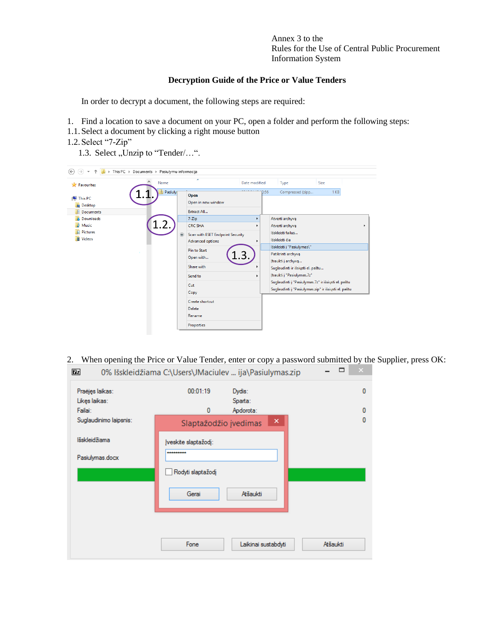Annex 3 to the Rules for the Use of Central Public Procurement Information System

#### **Decryption Guide of the Price or Value Tenders**

In order to decrypt a document, the following steps are required:

- 1. Find a location to save a document on your PC, open a folder and perform the following steps:
- 1.1.Select a document by clicking a right mouse button
- 1.2.Select "7-Zip"
	- 1.3. Select , Unzip to "Tender/...".



2. When opening the Price or Value Tender, enter or copy a password submitted by the Supplier, press OK:

| $\boxed{2}$            | 0% Išskleidžiama C:\Users\JMaciulev  ija\Pasiulymas.zip |                     |          |   |
|------------------------|---------------------------------------------------------|---------------------|----------|---|
| Praėjęs laikas:        | 00:01:19                                                | Dydis:              |          | 0 |
| Likes laikas:          |                                                         | Sparta:             |          |   |
| Failai:                | 0                                                       | Apdorota:           |          | 0 |
| Suglaudinimo laipsnis: | Slaptažodžio įvedimas                                   | ×                   |          | 0 |
| lšskleidžiama          | Įveskite slaptažodį:                                    |                     |          |   |
| Pasiulymas.docx        |                                                         |                     |          |   |
|                        | Rodyti slaptažodį                                       |                     |          |   |
|                        | Gerai                                                   | Atšaukti            |          |   |
|                        |                                                         |                     |          |   |
|                        | Fone                                                    | Laikinai sustabdyti | Atšaukti |   |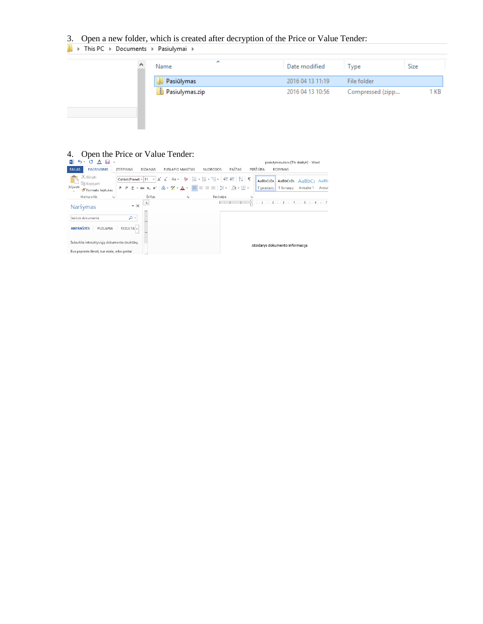# 3. Open a new folder, which is created after decryption of the Price or Value Tender:<br>  $\blacksquare$   $\triangleright$  This PC  $\triangleright$  Documents  $\triangleright$  Pasiulymai  $\triangleright$

| Name           | Date modified    | l vpe            | Size |
|----------------|------------------|------------------|------|
| Pasiūlymas     | 2016 04 13 11:19 | File folder      |      |
| Pasiulymas.zip | 2016 04 13 10:56 | Compressed (zipp | КB   |

#### 4. Open the Price or Value Tender:

| $\sigma$<br>$\overline{A}$<br>᠊ᢐ᠂<br>н                                                        |                                               |                                                                                                                                                                                                                                                                                                                                                                                                                                   |                           | pasiulymas.docx [Tik skaityti] - Word                                                        |
|-----------------------------------------------------------------------------------------------|-----------------------------------------------|-----------------------------------------------------------------------------------------------------------------------------------------------------------------------------------------------------------------------------------------------------------------------------------------------------------------------------------------------------------------------------------------------------------------------------------|---------------------------|----------------------------------------------------------------------------------------------|
| <b>PAGRINDINIS</b><br><b>FAILAS</b>                                                           | <b>ITERPIMAS</b><br><b>DIZAINAS</b>           | PUSLAPIO MAKETAS<br><b>NUORODOS</b>                                                                                                                                                                                                                                                                                                                                                                                               | PAŠTAS<br>PERŽIŪRA        | RODYMAS                                                                                      |
| X Iškirpti<br><b>En Kopijuoti</b><br> klijuoti<br>Formato teptukas                            | P                                             | $\mathsf{P} \left[ \mathsf{P} \right] \times \mathsf{a} \mathsf{b} \in \mathsf{X}_2 \left[ \mathsf{X}^2 \right] \left[ \mathsf{A} \right] \times \frac{\mathsf{d} \mathsf{Y}}{\mathsf{d} \mathsf{X}} \times \frac{\mathsf{A}}{\mathsf{d} \mathsf{X}} \times \left[ \mathsf{B} \right] \equiv \equiv \equiv \equiv \left[ \left\langle \mathsf{B} \right] \times \left[ \bigotimes \mathsf{A} \right] \boxplus \mathsf{A} \right]$ | AaBbCcDc<br>1   prastasis | AaBbCcDc<br>$A$ a $B$ b $C$<br>AaBb<br><b>T</b> Be tarpy<br>Antraštė 1<br>Antraš             |
| $\overline{\mathbb{F}_M}$<br>Mainu sritis                                                     | Šriftas                                       | G.<br>Pastraipa                                                                                                                                                                                                                                                                                                                                                                                                                   | 履                         |                                                                                              |
| Naršymas<br>leškoti dokumente<br><b>ANTRAŠTĖS</b><br>PUSLAPIAI                                | $\star \times$<br>۰ م<br>REZULTA <sup>1</sup> |                                                                                                                                                                                                                                                                                                                                                                                                                                   |                           | 3 - 1 - 2 - 1 - 1 - 1 - $\times$ 3 - 1 - 1 - 1 - 2 - 1 - 3 - 1 - 4 - 1 - 5 - 1 - 6 - 1 - 7 . |
| Sukurkite interaktyviąją dokumento struktūrą.<br>Bus paprasta žinoti, kur esate, arba greitai |                                               |                                                                                                                                                                                                                                                                                                                                                                                                                                   |                           | Atsidarys dokumento informacija                                                              |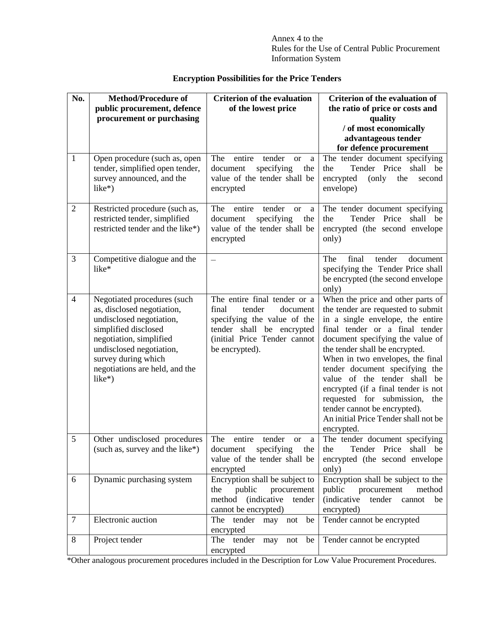Annex 4 to the Rules for the Use of Central Public Procurement Information System

## **Encryption Possibilities for the Price Tenders**

| No.            | <b>Method/Procedure of</b>                                | <b>Criterion of the evaluation</b>                            | <b>Criterion of the evaluation of</b>                                |
|----------------|-----------------------------------------------------------|---------------------------------------------------------------|----------------------------------------------------------------------|
|                | public procurement, defence                               | of the lowest price                                           | the ratio of price or costs and                                      |
|                | procurement or purchasing                                 |                                                               | quality                                                              |
|                |                                                           |                                                               | / of most economically                                               |
|                |                                                           |                                                               | advantageous tender                                                  |
|                |                                                           |                                                               | for defence procurement                                              |
| $\mathbf{1}$   | Open procedure (such as, open                             | The<br>entire<br>tender<br><sub>or</sub><br>a                 | The tender document specifying                                       |
|                | tender, simplified open tender,                           | specifying<br>document<br>the<br>value of the tender shall be | Tender Price<br>shall<br>the<br>be<br>encrypted<br>(only<br>the      |
|                | survey announced, and the<br>$like*)$                     | encrypted                                                     | second<br>envelope)                                                  |
|                |                                                           |                                                               |                                                                      |
| $\overline{2}$ | Restricted procedure (such as,                            | The<br>entire<br>tender<br><b>or</b><br>a                     | The tender document specifying                                       |
|                | restricted tender, simplified                             | specifying<br>document<br>the                                 | Tender Price<br>shall be<br>the                                      |
|                | restricted tender and the like*)                          | value of the tender shall be                                  | encrypted (the second envelope                                       |
|                |                                                           | encrypted                                                     | only)                                                                |
|                |                                                           |                                                               |                                                                      |
| 3              | Competitive dialogue and the                              |                                                               | The<br>final<br>tender<br>document                                   |
|                | like*                                                     |                                                               | specifying the Tender Price shall                                    |
|                |                                                           |                                                               | be encrypted (the second envelope                                    |
| $\overline{4}$ |                                                           | The entire final tender or a                                  | only)<br>When the price and other parts of                           |
|                | Negotiated procedures (such<br>as, disclosed negotiation, | final<br>tender<br>document                                   | the tender are requested to submit                                   |
|                | undisclosed negotiation,                                  | specifying the value of the                                   | in a single envelope, the entire                                     |
|                | simplified disclosed                                      | tender shall be encrypted                                     | final tender or a final tender                                       |
|                | negotiation, simplified                                   | (initial Price Tender cannot                                  | document specifying the value of                                     |
|                | undisclosed negotiation,                                  | be encrypted).                                                | the tender shall be encrypted.                                       |
|                | survey during which                                       |                                                               | When in two envelopes, the final                                     |
|                | negotiations are held, and the                            |                                                               | tender document specifying the                                       |
|                | $like*)$                                                  |                                                               | value of the tender shall<br>be                                      |
|                |                                                           |                                                               | encrypted (if a final tender is not                                  |
|                |                                                           |                                                               | requested for submission,<br>the                                     |
|                |                                                           |                                                               | tender cannot be encrypted).<br>An initial Price Tender shall not be |
|                |                                                           |                                                               | encrypted.                                                           |
| 5              | Other undisclosed procedures                              | The<br>entire<br>tender<br><b>or</b><br>a                     | The tender document specifying                                       |
|                | (such as, survey and the like*)                           | specifying<br>the<br>document                                 | Tender Price shall be<br>the                                         |
|                |                                                           | value of the tender shall be                                  | encrypted (the second envelope)                                      |
|                |                                                           | encrypted                                                     | only)                                                                |
| 6              | Dynamic purchasing system                                 | Encryption shall be subject to                                | Encryption shall be subject to the                                   |
|                |                                                           | public<br>procurement<br>the                                  | public<br>procurement<br>method                                      |
|                |                                                           | method<br><i>(indicative)</i><br>tender                       | <i>(indicative)</i><br>tender<br>cannot<br>be                        |
| $\tau$         | Electronic auction                                        | cannot be encrypted)<br>The tender may not be                 | encrypted)<br>Tender cannot be encrypted                             |
|                |                                                           | encrypted                                                     |                                                                      |
| 8              | Project tender                                            | The tender<br>may<br>not be                                   | Tender cannot be encrypted                                           |
|                |                                                           | encrypted                                                     |                                                                      |

\*Other analogous procurement procedures included in the Description for Low Value Procurement Procedures.